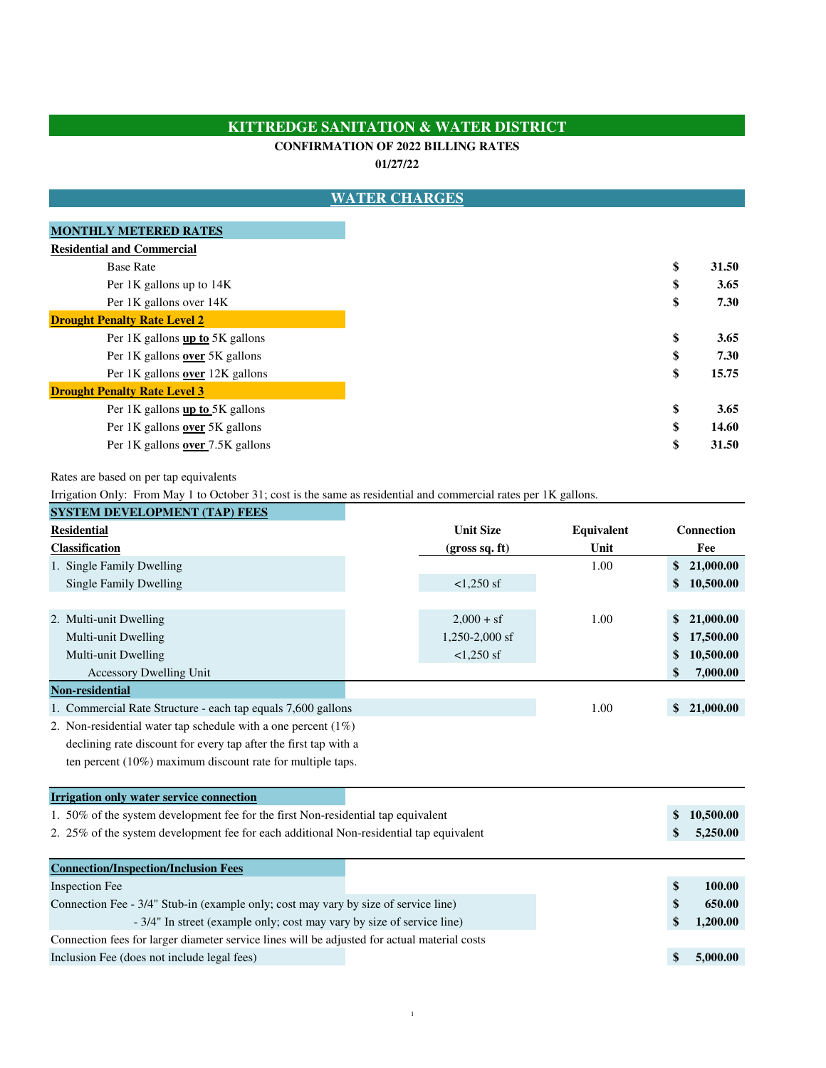## **KITTREDGE SANITATION & WATER DISTRICT**

## **CONFIRMATION OF 2022 BILLING RATES**

**01/27/22**

|                                     | <b>WATER CHARGES</b> |       |
|-------------------------------------|----------------------|-------|
| <b>MONTHLY METERED RATES</b>        |                      |       |
| <b>Residential and Commercial</b>   |                      |       |
| <b>Base Rate</b>                    | \$                   | 31.50 |
| Per 1K gallons up to 14K            | \$                   | 3.65  |
| Per 1K gallons over 14K             | \$                   | 7.30  |
| <b>Drought Penalty Rate Level 2</b> |                      |       |
| Per 1K gallons up to 5K gallons     | \$                   | 3.65  |
| Per 1K gallons over 5K gallons      | \$                   | 7.30  |
| Per 1K gallons over 12K gallons     | \$                   | 15.75 |
| <b>Drought Penalty Rate Level 3</b> |                      |       |
| Per 1K gallons up to 5K gallons     | \$                   | 3.65  |
| Per 1K gallons over 5K gallons      | \$                   | 14.60 |
| Per 1K gallons over 7.5K gallons    | \$                   | 31.50 |

Rates are based on per tap equivalents

Irrigation Only: From May 1 to October 31; cost is the same as residential and commercial rates per 1K gallons.

| <b>SYSTEM DEVELOPMENT (TAP) FEES</b>                                                         |  |                  |            |    |                   |  |
|----------------------------------------------------------------------------------------------|--|------------------|------------|----|-------------------|--|
| <b>Residential</b>                                                                           |  | <b>Unit Size</b> | Equivalent |    | <b>Connection</b> |  |
| Classification                                                                               |  | (gross sq. ft)   | Unit       |    | Fee               |  |
| 1. Single Family Dwelling                                                                    |  |                  | 1.00       | \$ | 21,000.00         |  |
| Single Family Dwelling                                                                       |  | $<1,250$ sf      |            | \$ | 10,500.00         |  |
|                                                                                              |  |                  |            |    |                   |  |
| 2. Multi-unit Dwelling                                                                       |  | $2,000 + sf$     | 1.00       | \$ | 21,000.00         |  |
| Multi-unit Dwelling                                                                          |  | $1,250-2,000$ sf |            | \$ | 17,500.00         |  |
| Multi-unit Dwelling                                                                          |  | $<1,250$ sf      |            | \$ | 10,500.00         |  |
| <b>Accessory Dwelling Unit</b>                                                               |  |                  |            | \$ | 7,000.00          |  |
| Non-residential                                                                              |  |                  |            |    |                   |  |
| 1. Commercial Rate Structure - each tap equals 7,600 gallons                                 |  |                  | 1.00       | \$ | 21,000.00         |  |
| 2. Non-residential water tap schedule with a one percent $(1\%)$                             |  |                  |            |    |                   |  |
| declining rate discount for every tap after the first tap with a                             |  |                  |            |    |                   |  |
| ten percent $(10\%)$ maximum discount rate for multiple taps.                                |  |                  |            |    |                   |  |
|                                                                                              |  |                  |            |    |                   |  |
| Irrigation only water service connection                                                     |  |                  |            |    |                   |  |
| 1. 50% of the system development fee for the first Non-residential tap equivalent            |  |                  |            | \$ | 10,500.00         |  |
| 2. 25% of the system development fee for each additional Non-residential tap equivalent      |  |                  |            | \$ | 5,250.00          |  |
|                                                                                              |  |                  |            |    |                   |  |
| <b>Connection/Inspection/Inclusion Fees</b>                                                  |  |                  |            |    |                   |  |
| <b>Inspection Fee</b>                                                                        |  |                  |            | \$ | 100.00            |  |
| Connection Fee - 3/4" Stub-in (example only; cost may vary by size of service line)          |  |                  |            | \$ | 650.00            |  |
| - 3/4" In street (example only; cost may vary by size of service line)                       |  |                  |            | \$ | 1,200.00          |  |
| Connection fees for larger diameter service lines will be adjusted for actual material costs |  |                  |            |    |                   |  |
| Inclusion Fee (does not include legal fees)                                                  |  |                  |            | \$ | 5,000.00          |  |